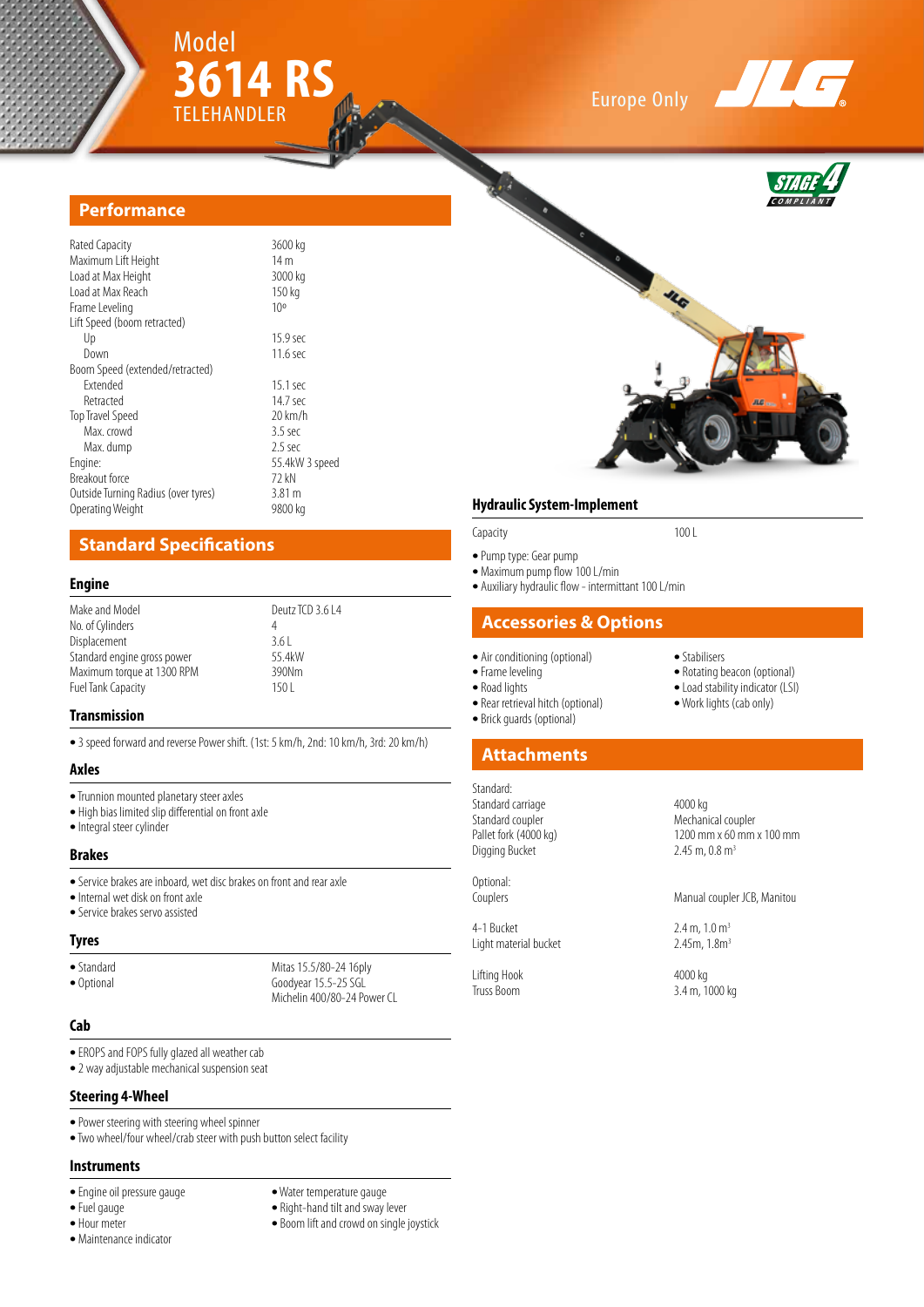

## Europe Only





#### **Performance**

| Rated Capacity                      | 3600 kg           |
|-------------------------------------|-------------------|
| Maximum Lift Height                 | 14 <sub>m</sub>   |
| Load at Max Height                  | 3000 kg           |
| Load at Max Reach                   | 150 kg            |
| Frame Leveling                      | 10 <sup>o</sup>   |
| Lift Speed (boom retracted)         |                   |
| Up                                  | 15.9 sec          |
| Down                                | $11.6$ sec        |
| Boom Speed (extended/retracted)     |                   |
| <b>Fxtended</b>                     | 15.1 sec          |
| Retracted                           | 14.7 sec          |
| Top Travel Speed                    | $20 \text{ km/h}$ |
| Max. crowd                          | $3.5$ sec         |
| Max. dump                           | $2.5$ sec         |
| Engine:                             | 55.4kW 3 speed    |
| Breakout force                      | 72 kN             |
| Outside Turning Radius (over tyres) | 3.81 <sub>m</sub> |
| Operating Weight                    | 9800 kg           |
|                                     |                   |

## **Standard Specifications**

#### **Engine**

| Make and Model              | Deutz TCD 3.6 L4 |
|-----------------------------|------------------|
| No. of Cylinders            | 4                |
| Displacement                | 3.61             |
| Standard engine gross power | 55.4kW           |
| Maximum torque at 1300 RPM  | 390Nm            |
| Fuel Tank Capacity          | 150 <sub>1</sub> |
|                             |                  |

#### **Transmission**

**•** 3 speed forward and reverse Power shift. (1st: 5 km/h, 2nd: 10 km/h, 3rd: 20 km/h)

#### **Axles**

- **•** Trunnion mounted planetary steer axles
- **•** High bias limited slip differential on front axle
- **•** Integral steer cylinder

#### **Brakes**

- **•** Service brakes are inboard, wet disc brakes on front and rear axle
- **•** Internal wet disk on front axle
- **•** Service brakes servo assisted

#### **Tyres**

• Standard Mitas 15.5/80-24 16ply<br>• Optional Goodvear 15.5-25 SGL Goodyear 15.5-25 SGL Michelin 400/80-24 Power CL

#### **Cab**

- **•** EROPS and FOPS fully glazed all weather cab
- **•** 2 way adjustable mechanical suspension seat

#### **Steering 4-Wheel**

- **•** Power steering with steering wheel spinner
- **•** Two wheel/four wheel/crab steer with push button select facility

#### **Instruments**

- **•** Engine oil pressure gauge **•** Water temperature gauge
- 
- 
- **•** Maintenance indicator
- 
- Right-hand tilt and sway lever
- **•** Hour meter **•** Boom lift and crowd on single joystick

#### **Hydraulic System-Implement**

**•** Pump type: Gear pump

- **•** Maximum pump flow 100 L/min
- **•** Auxiliary hydraulic flow intermittant 100 L/min

Capacity 100 L

#### **Accessories & Options**

- Air conditioning (optional) Stabilisers<br>• Frame leveling **•** Rotating b
	-
	-
	- Rear retrieval hitch (optional)
	- **•** Brick guards (optional)

## **Attachments**

Standard: Standard carriage 1986 and 4000 kg<br>
1986 Standard coupler Standard coupler Mechanical coupler<br>
Pallet fork (4000 kg) 1200 mm x 60 mm Digging Bucket

Optional:<br>Couplers

4-1 Bucket 2.4 m,  $1.0 \text{ m}^3$ <br>Light material bucket 2.45m,  $1.8 \text{ m}^3$ Light material bucket

Lifting Hook 4000 kg<br>Truss Boom 3.4 m, 1

- Frame leveling **• Frame leveling • Conserved Beacon • Conserved Beacon • Conserved Beacon • Conserved Beacon • Conserved Beacon • Conserved Beacon • Conserved Beacon • Conserved Beacon**
	- Load stability indicator (LSI)<br>• Work lights (cab only)
	-
	-

1200 mm x 60 mm x 100 mm<br>2.45 m, 0.8 m<sup>3</sup>

Manual coupler JCB, Manitou

3.4 m, 1000 kg